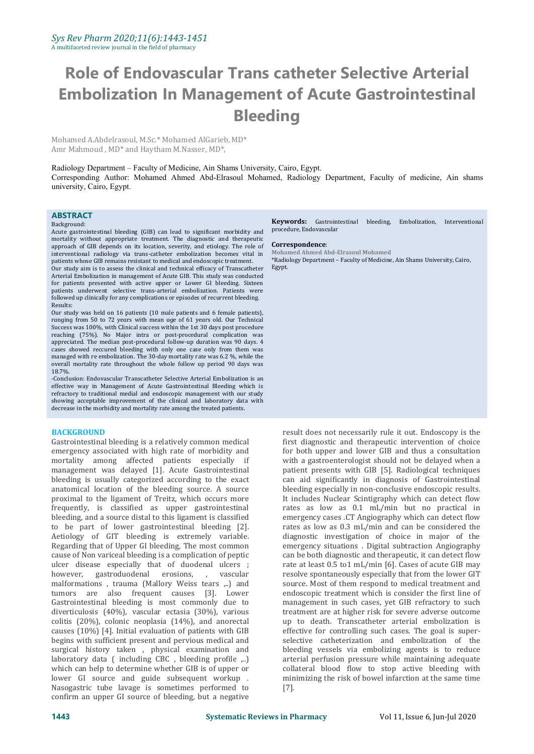## **Role of Endovascular Trans catheter Selective Arterial Embolization In Management of Acute Gastrointestinal Bleeding**

Mohamed A.Abdelrasoul, M.Sc.\* Mohamed AlGarieb, MD\* Amr Mahmoud , MD\* and Haytham M.Nasser, MD\*,

Radiology Department – Faculty of Medicine, Ain Shams University, Cairo, Egypt. Corresponding Author: Mohamed Ahmed Abd-Elrasoul Mohamed, Radiology Department, Faculty of medicine, Ain shams university, Cairo, Egypt.

### **ABSTRACT**<br>Background:

#### Background:

Acute gastrointestinal bleeding (GIB) can lead to significant morbidity and mortality without appropriate treatment. The diagnostic and therapeutic approach of GIB depends on its location. severity, and etiology. The role of **Correspondence**: approach of GIB depends on its location, severity, and etiology. The role of interventional radiology via trans-catheter embolization becomes vital in patients whose GIB remains resistant to medical and endoscopic treatment.

Our study aim is to assess the clinical and technical efficacy of Transcatheter Arterial Embolization in management of Acute GIB. This study was conducted for patients presented with active upper or Lower GI bleeding. Sixteen patients underwent selective trans-arterial embolization. Patients were followed up clinically for any complications or episodes of recurrent bleeding. Results:

Our study was held on 16 patients (10 male patients and 6 female patients), ranging from 50 to 72 years with mean age of 61 years old. Our Technical Success was 100%, with Clinical success within the 1st 30 days post procedure reaching (75%). No Major intra or post-procedural complication was appreciated. The median post-procedural follow-up duration was 90 days. 4 cases showed reccured bleeding with only one case only from them was managed with re embolization. The 30-day mortality rate was 6.2 %, while the overall mortality rate throughout the whole follow up period 90 days was  $18.7\%$ 18.7%.

-Conclusion: Endovascular Transcatheter Selective Arterial Embolization is an effective way in Management of Acute Gastrointestinal Bleeding which is refractory to traditional medial and endoscopic management with our study showing acceptable improvement of the clinical and laboratory data with decrease in the morbidity and mortality rate among the treated patients.

#### **BACKGROUND**

Gastrointestinal bleeding is a relatively common medical emergency associated with high rate of morbidity and mortality among affected patients especially if management was delayed [1]. Acute Gastrointestinal bleeding is usually categorized according to the exact anatomical location of the bleeding source. A source proximal to the ligament of Treitz, which occurs more frequently, is classified as upper gastrointestinal bleeding, and a source distal to this ligament is classified to be part of lower gastrointestinal bleeding [2]. Aetiology of GIT bleeding is extremely variable. Regarding that of Upper GI bleeding, The most common cause of Non variceal bleeding is a complication of peptic ulcer disease especially that of duodenal ulcers ;<br>however, gastroduodenal erosions, , vascular however, gastroduodenal malformations, trauma (Mallory Weiss tears ,..) and tumors are also frequent causes [3]. Lower Gastrointestinal bleeding is most commonly due to diverticulosis (40%), vascular ectasia (30%), various colitis (20%), colonic neoplasia (14%), and anorectal causes (10%) [4]. Initial evaluation of patients with GIB begins with sufficient present and pervious medical and surgical history taken, physical examination and laboratory data ( including CBC, bleeding profile ,..) which can help to determine whether GIB is of upper or lower GI source and guide subsequent workup . Nasogastric tube lavage is sometimes performed to confirm an upper GI source of bleeding, but a negative

**Keywords:** Gastrointestinal bleeding, Embolization, Interventional procedure, Endovascular

**Correspondence**: **Mohamed Ahmed Abd-Elrasoul Mohamed**

\*Radiology Department – Faculty of Medicine, Ain Shams University, Cairo, Egypt.

result does not necessarily rule it out. Endoscopy is the first diagnostic and therapeutic intervention of choice for both upper and lower GIB and thus a consultation with a gastroenterologist should not be delayed when a patient presents with GIB [5]. Radiological techniques can aid significantly in diagnosis of Gastrointestinal bleeding especially in non-conclusive endoscopic results. It includes Nuclear Scintigraphy which can detect flow rates as low as 0.1 mL/min but no practical in emergency cases .CT Angiography which can detect flow rates as low as  $0.3$  mL/min and can be considered the diagnostic investigation of choice in major of the emergency situations . Digital subtraction Angiography can be both diagnostic and therapeutic, it can detect flow rate at least 0.5 to1 mL/min [6]. Cases of acute GIB may resolve spontaneously especially that from the lower GIT source. Most of them respond to medical treatment and endoscopic treatment which is consider the first line of management in such cases, yet GIB refractory to such treatment are at higher risk for severe adverse outcome up to death. Transcatheter arterial embolization is effective for controlling such cases. The goal is super selective catheterization and embolization of the bleeding vessels via embolizing agents is to reduce arterial perfusion pressure while maintaining adequate collateral blood flow to stop active bleeding with minimizing the risk of bowel infarction at the same time [7].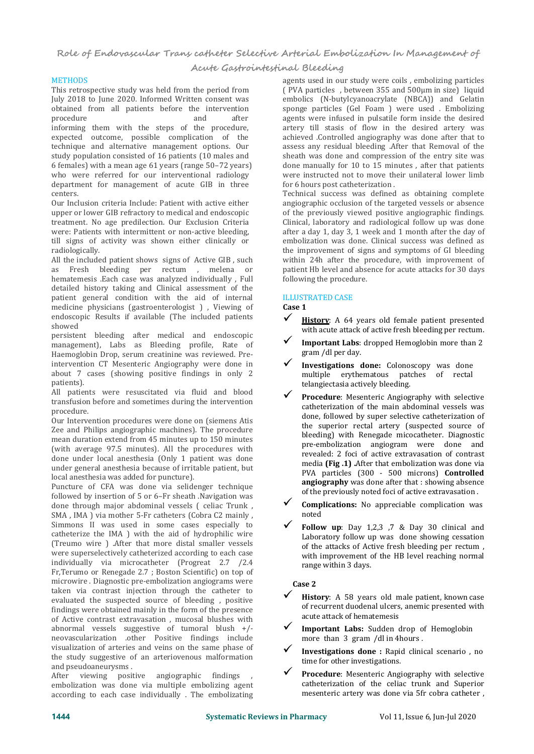**Acute Gastrointestinal Bleeding**

#### **METHODS**

This retrospective study was held from the period from July 2018 to June 2020. Informed Written consent was obtained from all patients before the intervention procedure and after agents v informing them with the steps of the procedure, expected outcome, possible complication of the technique and alternative management options. Our study population consisted of 16 patients (10 males and 6 females) with a mean age 61 years (range 50–72 years) who were referred for our interventional radiology department for management of acute GIB in three centers.

Our Inclusion criteria Include: Patient with active either upper or lower GIB refractory to medical and endoscopic treatment. No age predilection. Our Exclusion Criteria were: Patients with intermittent or non-active bleeding, till signs of activity was shown either clinically or radiologically.

All the included patient shows signs of Active GIB , such as Fresh bleeding per rectum , melena or hematemesis .Each case was analyzed individually , Full detailed history taking and Clinical assessment of the patient general condition with the aid of internal medicine physicians (gastroenterologist ) , Viewing of endoscopic Results if available (The included patients  $\boldsymbol{\checkmark}$ showed

persistent bleeding after medical and endoscopic management), Labs as Bleeding profile, Rate of **V** Important Labs:<br>Haemoglobin Dron serum creatining was reviewed Pre- gram /dl per day. Haemoglobin Drop, serum creatinine was reviewed. Preintervention CT Mesenteric Angiography were done in about 7 cases (showing positive findings in only 2 patients).

All patients were resuscitated via fluid and blood transfusion before and sometimes during the intervention procedure.

Our Intervention procedures were done on (siemens Atis Zee and Philips angiographic machines). The procedure mean duration extend from 45 minutes up to 150 minutes (with average 97.5 minutes). All the procedures with done under local anesthesia (Only 1 patient was done under general anesthesia because of irritable patient, but local anesthesia was added for puncture).

Puncture of CFA was done via selidenger technique<br>followed by insertion of E on 6 England. Novigation was of the previously noted foci of active extravasation. followed by insertion of 5 or 6–Fr sheath .Navigation was done through major abdominal vessels ( celiac Trunk , SMA , IMA ) via mother 5-Fr catheters (Cobra C2 mainly , Simmons II was used in some cases especially to catheterize the IMA ) with the aid of hydrophilic wire (Treumo wire ) .After that more distal smaller vessels were superselectively catheterized according to each case individually via microcatheter (Progreat 2.7 /2.4 Fr,Terumo or Renegade 2.7 ; Boston Scientific) on top of microwire . Diagnostic pre-embolization angiograms were taken via contrast injection through the catheter to evaluated the suspected source of bleeding, positive findings were obtained mainly in the form of the presence<br>of Active contrast outpayses in muces bluebes with acute attack of hematemesis of Active contrast extravasation , mucosal blushes with abnormal vessels suggestive of tumoral blush  $+/ \checkmark$  Important Labs: Sudden drop of neovascularization other Positive findings include more than 3 gram /dl in 4 hours. neovascularization .other Positive findings include visualization of arteries and veins on the same phase of the study suggestive of an arteriovenous malformation<br>time for other investigations. and pseudoaneurysms .

After viewing positive angiographic findings ,<br>embolization was done via multiple embolizing agent according to each case individually . The embolizating

agents used in our study were coils , embolizing particles ( PVA particles , between 355 and 500μm in size) liquid embolics (N-butylcyanoacrylate (NBCA)) and Gelatin sponge particles (Gel Foam ) were used . Embolizing agents were infused in pulsatile form inside the desired artery till stasis of flow in the desired artery was achieved .Controlled angiography was done after that to assess any residual bleeding .After that Removal of the sheath was done and compression of the entry site was done manually for 10 to 15 minutes , after that patients were instructed not to move their unilateral lower limb for 6 hours post catheterization .

Technical success was defined as obtaining complete angiographic occlusion of the targeted vessels or absence of the previously viewed positive angiographic findings. Clinical, laboratory and radiological follow up was done after a day 1, day 3, 1 week and 1 month after the day of embolization was done. Clinical success was defined as the improvement of signs and symptoms of GI bleeding within 24h after the procedure, with improvement of patient Hb level and absence for acute attacks for 30 days following the procedure.

#### ILLUSTRATED CASE

#### **Case 1**

- **History**: A 64 years old female patient presented with acute attack of active fresh bleeding per rectum.
- **Important Labs:** dropped Hemoglobin more than 2
- **Investigations done:** Colonoscopy was done<br>multiple erythematous patches of rectal multiple erythematous pat<br>telangiectasia actively bleeding.
- **Procedure**: Mesenteric Angiography with selective catheterization of the main abdominal vessels was done, followed by super selective catheterization of the superior rectal artery (suspected source of bleeding) with Renegade micocatheter. Diagnostic pre-embolization angiogram were done and revealed: 2 foci of active extravasation of contrast media **(Fig .1) .**After that embolization was done via PVA particles (300 - 500 microns) **Controlled angiography** was done after that : showing absence
- **Complications:** No appreciable complication was noted
- **Follow up**: Day 1,2,3 ,7 & Day <sup>30</sup> clinical and Laboratory follow up was done showing cessation of the attacks of Active fresh bleeding per rectum , with improvement of the HB level reaching normal range within 3 days.

#### **Case 2**

- **History**: <sup>A</sup> <sup>58</sup> years old male patient, known case of recurrent duodenal ulcers, anemic presented with
- Important Labs: Sudden drop of Hemoglobin
- **Investigations done** : Rapid clinical scenario, no
- **Procedure**: Mesenteric Angiography with selective catheterization of the celiac trunk and Superior mesenteric artery was done via 5fr cobra catheter ,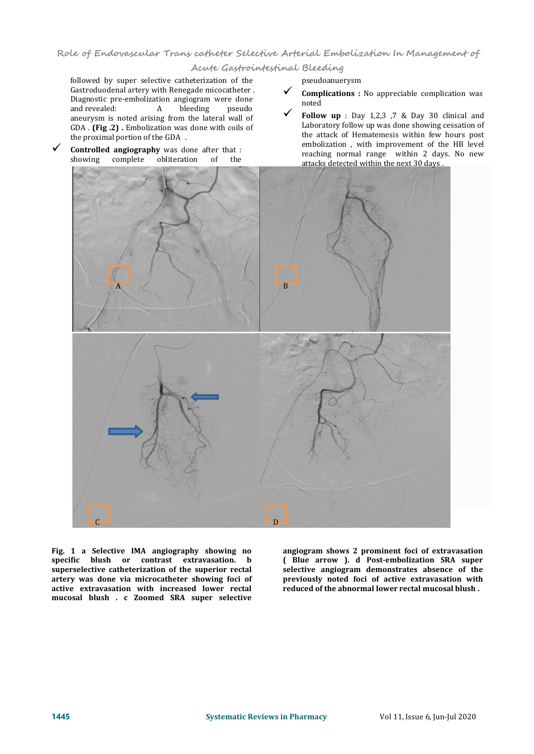**Acute Gastrointestinal Bleeding**

followed by super selective catheterization of the Gastroduodenal artery with Renegade micocatheter . Diagnostic pre-embolization angiogram were done<br>and revealed: <br>A bleeding pseudo and revealed: A bleeding pseudo aneurysm is noted arising from the lateral wall of  $\mathbf{r}$ GDA . **(Fig .2) .** Embolization was done with coils of

**Controlled angiography** was done after that :<br>showing complete obliteration of the

- **Complications** : No appreciable complication was noted
- **Follow up** : Day 1,2,3 ,7 & Day <sup>30</sup> clinical and Laboratory follow up was done showing cessation of the attack of Hematemesis within few hours post embolization , with improvement of the HB level reaching normal range within 2 days. No new attacks detected within the next 30 days .



**Fig. 1 a Selective IMA angiography showing no specific blush or contrast extravasation. b superselective catheterization of the superior rectal artery was done via microcatheter showing foci of active extravasation with increased lower rectal mucosal blush . c Zoomed SRA super selective**

**angiogram shows 2 prominent foci of extravasation ( Blue arrow ). d Post-embolization SRA super selective angiogram demonstrates absence of the previously noted foci of active extravasation with reduced of the abnormal lower rectal mucosal blush .**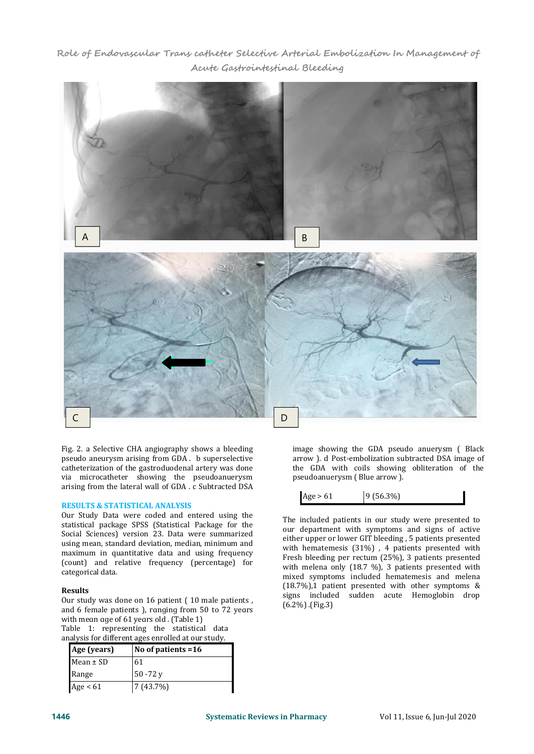**Role of Endovascular Trans catheter Selective Arterial Embolization In Management of Acute Gastrointestinal Bleeding**



Fig. 2. a Selective CHA angiography shows a bleeding pseudo aneurysm arising from GDA . b superselective catheterization of the gastroduodenal artery was done via microcatheter showing the pseudoanuerysm arising from the lateral wall of GDA . c Subtracted DSA

#### **RESULTS & STATISTICAL ANALYSIS**

Our Study Data were coded and entered using the statistical package SPSS (Statistical Package for the Social Sciences) version 23. Data were summarized using mean, standard deviation, median, minimum and maximum in quantitative data and using frequency (count) and relative frequency (percentage) for categorical data.

#### **Results**

Our study was done on 16 patient ( 10 male patients , and 6 female patients ), ranging from 50 to 72 years with meɑn ɑɡe of 61 yeɑrs old . (Table 1)

Table 1: representing the statistical data analysis for different ages enrolled at our study.

| Age (years)   | No of patients =16 |
|---------------|--------------------|
| Mean $\pm$ SD | 61                 |
| Range         | 50 -72 y           |
| Age $< 61$    | 7 (43.7%)          |

image showing the GDA pseudo anuerysm ( Black arrow ). d Post-embolization subtracted DSA image of the GDA with coils showing obliteration of the pseudoanuerysm ( Blue arrow ).

| Age > 61 | $ 9(56.3\%)$ |
|----------|--------------|
|----------|--------------|

The included patients in our study were presented to our department with symptoms and signs of active either upper or lower GIT bleeding , 5 patients presented with hematemesis (31%) , 4 patients presented with Fresh bleeding per rectum (25%), 3 patients presented with melena only (18.7 %), 3 patients presented with mixed symptoms included hematemesis and melena (18.7%),1 patient presented with other symptoms & signs included sudden acute Hemoglobin drop (6.2%) .(Fig.3)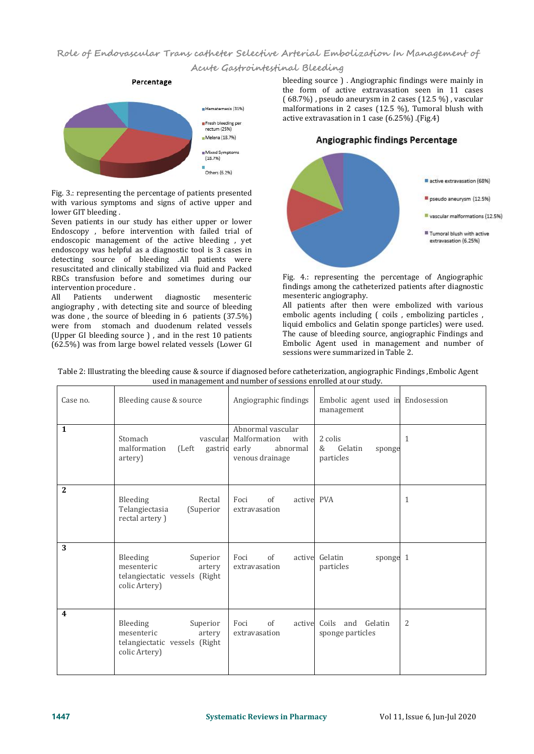#### **Acute Gastrointestinal Bleeding**



Fig. 3.: representing the percentage of patients presented with various symptoms and signs of active upper and lower GIT bleeding .

Seven patients in our study has either upper or lower Endoscopy , before intervention with failed trial of endoscopic management of the active bleeding , yet endoscopy was helpful as a diagnostic tool is 3 cases in detecting source of bleeding .All patients were resuscitated and clinically stabilized via fluid and Packed RBCs transfusion before and sometimes during our intervention procedure .<br>All Patients under

Patients underwent diagnostic mesenteric angiography , with detecting site and source of bleeding was done , the source of bleeding in 6 patients (37.5%) were from stomach and duodenum related vessels (Upper GI bleeding source ) , and in the rest 10 patients (62.5%) was from large bowel related vessels (Lower GI

bleeding source ) . Angiographic findings were mainly in the form of active extravasation seen in 11 cases ( 68.7%) , pseudo aneurysm in 2 cases (12.5 %) , vascular malformations in 2 cases (12.5 %), Tumoral blush with active extravasation in 1 case (6.25%) .(Fig.4)

Angiographic findings Percentage

# active extravasation (68%) pseudo aneurysm (12.5%) vascular malformations (12.5%) Tumoral blush with active extravasation (6.25%)

Fig. 4.: representing the percentage of Angiographic findings among the catheterized patients after diagnostic mesenteric angiography.

All patients after then were embolized with various embolic agents including ( coils , embolizing particles , liquid embolics and Gelatin sponge particles) were used. The cause of bleeding source, angiographic Findings and Embolic Agent used in management and number of sessions were summarized in Table 2.

| Table 2: Illustrating the bleeding cause & source if diagnosed before catheterization, angiographic Findings, Embolic Agent |  |  |  |  |  |  |
|-----------------------------------------------------------------------------------------------------------------------------|--|--|--|--|--|--|
| used in management and number of sessions enrolled at our study.                                                            |  |  |  |  |  |  |
|                                                                                                                             |  |  |  |  |  |  |

| Case no.                | Bleeding cause & source                                                                        | Angiographic findings                                                             | Embolic agent used in Endosession<br>management |                |
|-------------------------|------------------------------------------------------------------------------------------------|-----------------------------------------------------------------------------------|-------------------------------------------------|----------------|
| $\mathbf{1}$            | Stomach<br>vascular<br>malformation<br>(Left)<br>gastrid<br>artery)                            | Abnormal vascular<br>Malformation<br>with<br>early<br>abnormal<br>venous drainage | 2 colis<br>&<br>Gelatin<br>sponge<br>particles  | 1              |
| 2                       | Bleeding<br>Rectal<br>Telangiectasia<br>(Superior<br>rectal artery)                            | of<br>active PVA<br>Foci<br>extravasation                                         |                                                 | $\mathbf{1}$   |
| 3                       | Bleeding<br>Superior<br>mesenteric<br>artery<br>telangiectatic vessels (Right<br>colic Artery) | of<br>Foci<br>extravasation                                                       | active Gelatin<br>sponge 1<br>particles         |                |
| $\overline{\mathbf{4}}$ | Bleeding<br>Superior<br>mesenteric<br>artery<br>telangiectatic vessels (Right<br>colic Artery) | of<br>Foci<br>active<br>extravasation                                             | Coils and Gelatin<br>sponge particles           | $\overline{2}$ |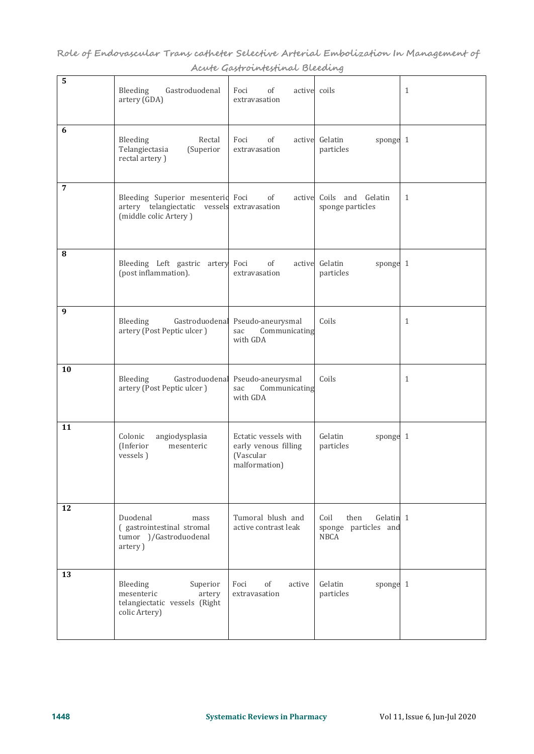| 5              | Gastroduodenal<br>Bleeding<br>artery (GDA)                                                                | active coils<br>Foci<br>of<br>extravasation                                |                                                           | $\mathbf{1}$ |
|----------------|-----------------------------------------------------------------------------------------------------------|----------------------------------------------------------------------------|-----------------------------------------------------------|--------------|
| 6              | Bleeding<br>Rectal<br>Telangiectasia<br>(Superior<br>rectal artery)                                       | Foci<br>of<br>extravasation                                                | active Gelatin<br>sponge 1<br>particles                   |              |
| $\overline{7}$ | Bleeding Superior mesenterid Foci<br>artery telangiectatic vessels extravasation<br>(middle colic Artery) | of<br>active                                                               | Coils and Gelatin<br>sponge particles                     | 1            |
| 8              | Bleeding Left gastric artery<br>(post inflammation).                                                      | Foci<br>of<br>active<br>extravasation                                      | Gelatin<br>sponge 1<br>particles                          |              |
| 9              | Bleeding<br>Gastroduodenal<br>artery (Post Peptic ulcer)                                                  | Pseudo-aneurysmal<br>Communicating<br>sac<br>with GDA                      | Coils                                                     | 1            |
| 10             | Bleeding<br>Gastroduodenal<br>artery (Post Peptic ulcer)                                                  | Pseudo-aneurysmal<br>Communicating<br>sac<br>with GDA                      | Coils                                                     | 1            |
| 11             | Colonic<br>angiodysplasia<br>(Inferior<br>mesenteric<br>vessels)                                          | Ectatic vessels with<br>early venous filling<br>(Vascular<br>malformation) | Gelatin<br>sponge 1<br>particles                          |              |
| 12             | Duodenal<br>mass<br>( gastrointestinal stromal<br>tumor )/Gastroduodenal<br>artery)                       | Tumoral blush and<br>active contrast leak                                  | Coil<br>then<br>Gelatin 1<br>sponge particles and<br>NBCA |              |
| 13             | Bleeding<br>Superior<br>mesenteric<br>artery<br>telangiectatic vessels (Right<br>colic Artery)            | Foci<br>of<br>active<br>extravasation                                      | Gelatin<br>sponge 1<br>particles                          |              |
|                |                                                                                                           |                                                                            |                                                           |              |

**Role of Endovascular Trans catheter Selective Arterial Embolization In Management of Acute Gastrointestinal Bleeding**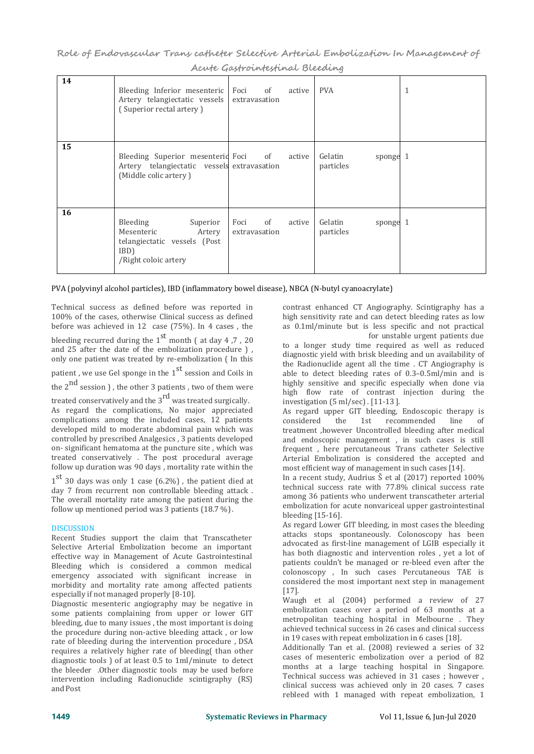**Role of Endovascular Trans catheter Selective Arterial Embolization In Management of Acute Gastrointestinal Bleeding**

| 14 | Bleeding Inferior mesenteric Foci of<br>Artery telangiectatic vessels<br>(Superior rectal artery)                   | extravasation            | active | <b>PVA</b>                       | $\mathbf{1}$ |
|----|---------------------------------------------------------------------------------------------------------------------|--------------------------|--------|----------------------------------|--------------|
| 15 | Bleeding Superior mesenteric Foci of active<br>Artery telangiectatic vessels extravasation<br>(Middle colic artery) |                          |        | Gelatin<br>sponge 1<br>particles |              |
| 16 | Bleeding<br>Superior<br>Mesenteric<br>Artery<br>telangiectatic vessels (Post<br>IBD)<br>/Right coloic artery        | Foci of<br>extravasation | active | Gelatin<br>sponge 1<br>particles |              |

#### PVA (polyvinyl alcohol particles), IBD (inflammatory bowel disease), NBCA (N-butyl cyanoacrylate)

Technical success as defined before was reported in 100% of the cases, otherwise Clinical success as defined before was achieved in 12 case (75%). In 4 cases , the

bleeding recurred during the  $1^{st}$  month ( at day 4,7, 20 and  $25$  after the date of the embolization procedure ), only one patient was treated by re-embolization ( In this

patient , we use Gel sponge in the  $1<sup>st</sup>$  session and Coils in able to detect

the  $2^{nd}$  session ), the other 3 patients, two of them were highly sensitive and  $\frac{highly}{how}$  rate of

treated conservatively and the  $3^{rd}$  was treated surgically.  $\frac{mg}{m}$ 

As regard the complications, No major appreciated complications among the included cases, 12 patients developed mild to moderate abdominal pain which was controlled by prescribed Analgesics , 3 patients developed on- significant hematoma at the puncture site , which was treated conservatively . The post procedural average follow up duration was 90 days , mortality rate within the

 $1<sup>st</sup>$  30 days was only 1 case (6.2%), the patient died at  $\begin{array}{c} \text{In a recent s} \\ \text{the other hand, the total area of the two times.} \end{array}$ day 7 from recurrent non controllable bleeding attack . The overall mortality rate among the patient during the follow up mentioned period was 3 patients (18.7 %).

### DISCUSSION

Recent Studies support the claim that Transcatheter Selective Arterial Embolization become an important effective way in Management of Acute Gastrointestinal Bleeding which is considered a common medical emergency associated with significant increase in morbidity and mortality rate among affected patients especially if not managed properly [8-10].

Diagnostic mesenteric angiography may be negative in some patients complaining from upper or lower GIT bleeding, due to many issues , the most important is doing the procedure during non-active bleeding attack , or low rate of bleeding during the intervention procedure , DSA requires a relatively higher rate of bleeding( than other diagnostic tools ) of at least 0.5 to 1ml/minute to detect the bleeder .Other diagnostic tools may be used before intervention including Radionuclide scintigraphy (RS) andPost

contrast enhanced CT Angiography. Scintigraphy has a high sensitivity rate and can detect bleeding rates as low as 0.1ml/minute but is less specific and not practical for unstable urgent patients due

to a longer study time required as well as reduced diagnostic yield with brisk bleeding and un availability of the Radionuclide agent all the time . CT Angiography is able to detect bleeding rates of 0.3–0.5ml/min and is highly sensitive and specific especially when done via high flow rate of contrast injection during the investigation (5 ml/sec) . [11-13 ].

As regard upper GIT bleeding, Endoscopic therapy is considered the 1st recommended line of recommended line treatment ,however Uncontrolled bleeding after medical and endoscopic management , in such cases is still frequent , here percutaneous Trans catheter Selective Arterial Embolization is considered the accepted and most efficient way of management in such cases [14].

In a recent study, Audrius Š et al (2017) reported 100% technical success rate with 77.8% clinical success rate among 36 patients who underwent transcatheter arterial embolization for acute nonvariceal upper gastrointestinal bleeding [15-16].

As regard Lower GIT bleeding, in most cases the bleeding attacks stops spontaneously. Colonoscopy has been advocated as first-line management of LGIB especially it has both diagnostic and intervention roles , yet a lot of patients couldn't be managed or re-bleed even after the colonoscopy , In such cases Percutaneous TAE is considered the most important next step in management [17].

Waugh et al (2004) performed a review of 27 embolization cases over a period of 63 months at a metropolitan teaching hospital in Melbourne . They achieved technical success in 26 cases and clinical success in 19 cases with repeat embolization in 6 cases [18].

Additionally Tan et al. (2008) reviewed a series of 32 cases of mesenteric embolization over a period of 82 months at a large teaching hospital in Singapore. Technical success was achieved in 31 cases ; however , clinical success was achieved only in 20 cases. 7 cases rebleed with 1 managed with repeat embolization, 1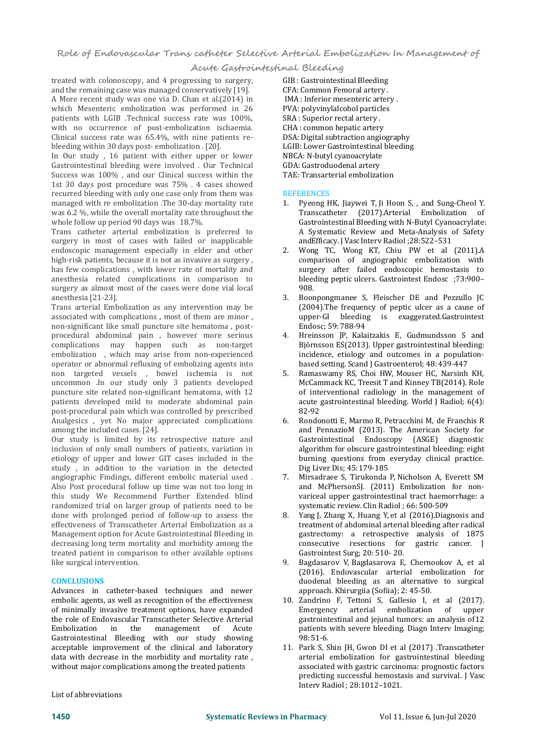#### **Acute Gastrointestinal Bleeding**

treated with colonoscopy, and 4 progressing to surgery, and the remaining case was managed conservatively [19]. A More recent study was one via D. Chan et al.(2014) in which Mesenteric embolization was performed in 26 patients with LGIB .Technical success rate was 100%, with no occurrence of post-embolization ischaemia. Clinical success rate was 65.4%, with nine patients re bleeding within 30 days post- embolization . [20].

In Our study , 16 patient with either upper or lower Gastrointestinal bleeding were involved . Our Technical Success was 100%, and our Clinical success within the 1st 30 days post procedure was 75% . 4 cases showed<br>recurred bleeding with only one case only from them was REFERENCES recurred bleeding with only one case only from them was managed with re embolization .The 30-day mortality rate was 6.2 %, while the overall mortality rate throughout the whole follow up period 90 days was 18.7%.

Trans catheter arterial embolization is preferred to surgery in most of cases with failed or inapplicable<br>endoscopic management especially in elder and other 2. endoscopic management especially in elder and other high-risk patients, because it is not as invasive as surgery, has few complications , with lower rate of mortality and anesthesia related complications in comparison to blee<br>surgery as almost most of the cases were done vial local and 908 surgery as almost most of the cases were done vial local anesthesia [21-23].

Trans arterial Embolization as any intervention may be associated with complications , most of them are minor , non-significant like small puncture site hematoma , post procedural abdominal pain , however more serious complications may happen such as non-target embolization , which may arise from non-experienced operator or abnormal refluxing of embolizing agents into<br>non-targeted vessels bowel ischemia is not non targeted vessels , bowel ischemia is not uncommon .In our study only 3 patients developed puncture site related non-significant hematoma, with 12 patients developed mild to moderate abdominal pain acute<br>nost-procedural pain which was controlled by prescribed and a 82-92 post-procedural pain which was controlled by prescribed<br>Analgesics vet No maior annreciated complications 6 Analgesics , yet No major appreciated complications among the included cases.[24].

Our study is limited by its retrospective nature and inclusion of only small numbers of patients, variation in etiology of upper and lower GIT cases included in the study, in addition to the variation in the detected<br>angiographic Findings, different embolic material used. angiographic Findings, different embolic material used . Also Post procedural follow up time was not too long in this study We Recommend Further Extended blind randomized trial on larger group of patients need to be<br>done with prolonged period of follow-up to assess the done with prolonged period of follow-up to assess the effectiveness of Transcatheter Arterial Embolization as a Management option for Acute Gastrointestinal Bleeding in decreasing long term mortality and morbidity among the treated patient in comparison to other available options<br>like surgical intervention. 9. like surgical intervention.

#### **CONCLUSIONS**

Advances in catheter-based techniques and newer embolic agents, as well as recognition of the effectiveness and the Mandrino F, of minimally invasive treatment options, have expanded Emergency of minimally invasive treatment options, have expanded the role of Endovascular Transcatheter Selective Arterial<br>Embolization in the management of Acute management Gastrointestinal Bleeding with our study showing acceptable improvement of the clinical and laboratory data with decrease in the morbidity and mortality rate , without major complications among the treated patients

GIB : Gastrointestinal Bleeding CFA: Common Femoral artery . IMA : Inferior mesenteric artery . PVA: polyvinylalcohol particles SRA : Superior rectal artery . CHA : common hepatic artery DSA: Digital subtraction angiography LGIB: Lower Gastrointestinal bleeding NBCA: N-butyl cyanoacrylate GDA: Gastroduodenal artery TAE: Transarterial embolization

#### **REFERENCES**

- 1. Pyeong HK, Jiaywei T, Ji Hoon S, , and Sung-Cheol Y. Transcatheter (2017).Arterial Embolization of Gastrointestinal Bleeding with N-Butyl Cyanoacrylate: A Systematic Review and Meta-Analysis of Safety andEfficacy. J Vasc Interv Radiol ;28:522–531
- Wong TC, Wong KT, Chiu PW et al (2011).A comparison of angiographic embolization with surgery after failed endoscopic hemostasis to bleeding peptic ulcers. Gastrointest Endosc ;73:900– 908.
- 3. Boonpongmanee S, Fleischer DE and Pezzullo JC (2004).The frequency of peptic ulcer as a cause of upper-GI bleeding is exaggerated.Gastrointest Endosc; 59: 788-94
- Hreinsson JP, Kalaitzakis E, Gudmundsson S and Björnsson ES(2013). Upper gastrointestinal bleeding: incidence, etiology and outcomes in a population based setting. Scand J Gastroenterol; 48:439-447
- 5. Ramaswamy RS, Choi HW, Mouser HC, Narsinh KH, McCammack KC, Treesit T and Kinney TB(2014). Role of interventional radiology in the management of acute gastrointestinal bleeding. World J Radiol; 6(4): 82-92
- 6. Rondonotti E, Marmo R, Petracchini M, de Franchis R and PennazioM (2013). The American Society for Gastrointestinal Endoscopy (ASGE) diagnostic algorithm for obscure gastrointestinal bleeding: eight burning questions from everyday clinical practice. Dig Liver Dis; 45:179-185
- 7. Mirsadraee S, Tirukonda P, Nicholson A, Everett SM and McPhersonSJ. (2011) Embolization for non variceal upper gastrointestinal tract haemorrhage: a systematic review. Clin Radiol ; 66: 500-509
- Yang J, Zhang X, Huang Y, et al (2016).Diagnosis and treatment of abdominal arterial bleeding after radical gastrectomy: a retrospective analysis of 1875 consecutive resections for gastric cancer. J Gastrointest Surg; 20: 510- 20.
- 9. Bagdasarov V, Bagdasarova E, Chernookov A, et al (2016). Endovascular arterial embolization for duodenal bleeding as an alternative to surgical approach. Khirurgiia (Sofiia); 2: 45-50.
- 10. Zandrino F, Tettoni S, Gallesio I, et al (2017). arterial embolization of upper gastrointestinal and jejunal tumors: an analysis of12 patients with severe bleeding. Diagn Interv Imaging; 98:51-6.
- 11. Park S, Shin JH, Gwon DI et al (2017) .Transcatheter arterial embolization for gastrointestinal bleeding associated with gastric carcinoma: prognostic factors predicting successful hemostasis and survival. JVasc Interv Radiol ; 28:1012–1021.

List of abbreviations